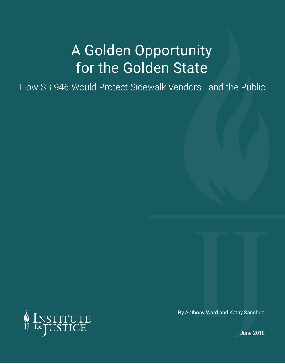# A Golden Opportunity for the Golden State

How SB 946 Would Protect Sidewalk Vendors—and the Public



By Anthony Ward and Kathy Sanchez

June 2018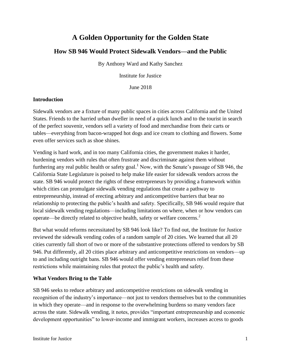## **A Golden Opportunity for the Golden State**

### **How SB 946 Would Protect Sidewalk Vendors—and the Public**

By Anthony Ward and Kathy Sanchez

Institute for Justice

June 2018

#### **Introduction**

Sidewalk vendors are a fixture of many public spaces in cities across California and the United States. Friends to the harried urban dweller in need of a quick lunch and to the tourist in search of the perfect souvenir, vendors sell a variety of food and merchandise from their carts or tables—everything from bacon-wrapped hot dogs and ice cream to clothing and flowers. Some even offer services such as shoe shines.

Vending is hard work, and in too many California cities, the government makes it harder, burdening vendors with rules that often frustrate and discriminate against them without furthering any real public health or safety goal.<sup>1</sup> Now, with the Senate's passage of SB 946, the California State Legislature is poised to help make life easier for sidewalk vendors across the state. SB 946 would protect the rights of these entrepreneurs by providing a framework within which cities can promulgate sidewalk vending regulations that create a pathway to entrepreneurship, instead of erecting arbitrary and anticompetitive barriers that bear no relationship to protecting the public's health and safety. Specifically, SB 946 would require that local sidewalk vending regulations—including limitations on where, when or how vendors can operate—be directly related to objective health, safety or welfare concerns.<sup>2</sup>

But what would reforms necessitated by SB 946 look like? To find out, the Institute for Justice reviewed the sidewalk vending codes of a random sample of 20 cities. We learned that all 20 cities currently fall short of two or more of the substantive protections offered to vendors by SB 946. Put differently, all 20 cities place arbitrary and anticompetitive restrictions on vendors—up to and including outright bans. SB 946 would offer vending entrepreneurs relief from these restrictions while maintaining rules that protect the public's health and safety.

#### **What Vendors Bring to the Table**

SB 946 seeks to reduce arbitrary and anticompetitive restrictions on sidewalk vending in recognition of the industry's importance—not just to vendors themselves but to the communities in which they operate—and in response to the overwhelming burdens so many vendors face across the state. Sidewalk vending, it notes, provides "important entrepreneurship and economic development opportunities" to lower-income and immigrant workers, increases access to goods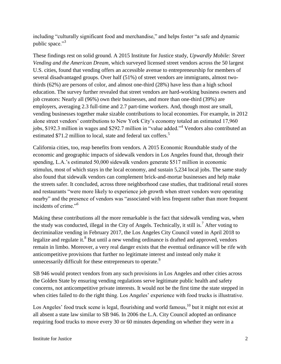including "culturally significant food and merchandise," and helps foster "a safe and dynamic public space."<sup>3</sup>

These findings rest on solid ground. A 2015 Institute for Justice study, *Upwardly Mobile: Street Vending and the American Dream*, which surveyed licensed street vendors across the 50 largest U.S. cities, found that vending offers an accessible avenue to entrepreneurship for members of several disadvantaged groups. Over half (51%) of street vendors are immigrants, almost twothirds (62%) are persons of color, and almost one-third (28%) have less than a high school education. The survey further revealed that street vendors are hard-working business owners and job creators: Nearly all (96%) own their businesses, and more than one-third (39%) are employers, averaging 2.3 full-time and 2.7 part-time workers. And, though most are small, vending businesses together make sizable contributions to local economies. For example, in 2012 alone street vendors' contributions to New York City's economy totaled an estimated 17,960 jobs, \$192.3 million in wages and \$292.7 million in "value added."<sup>4</sup> Vendors also contributed an estimated \$71.2 million to local, state and federal tax coffers.<sup>5</sup>

California cities, too, reap benefits from vendors. A 2015 Economic Roundtable study of the economic and geographic impacts of sidewalk vendors in Los Angeles found that, through their spending, L.A.'s estimated 50,000 sidewalk vendors generate \$517 million in economic stimulus, most of which stays in the local economy, and sustain 5,234 local jobs. The same study also found that sidewalk vendors can complement brick-and-mortar businesses and help make the streets safer. It concluded, across three neighborhood case studies, that traditional retail stores and restaurants "were more likely to experience job growth when street vendors were operating nearby" and the presence of vendors was "associated with less frequent rather than more frequent incidents of crime."<sup>6</sup>

Making these contributions all the more remarkable is the fact that sidewalk vending was, when the study was conducted, illegal in the City of Angels. Technically, it still is.<sup>7</sup> After voting to decriminalize vending in February 2017, the Los Angeles City Council voted in April 2018 to legalize and regulate it.<sup>8</sup> But until a new vending ordinance is drafted and approved, vendors remain in limbo. Moreover, a very real danger exists that the eventual ordinance will be rife with anticompetitive provisions that further no legitimate interest and instead only make it unnecessarily difficult for these entrepreneurs to operate.<sup>9</sup>

SB 946 would protect vendors from any such provisions in Los Angeles and other cities across the Golden State by ensuring vending regulations serve legitimate public health and safety concerns, not anticompetitive private interests. It would not be the first time the state stepped in when cities failed to do the right thing. Los Angeles' experience with food trucks is illustrative.

Los Angeles' food truck scene is legal, flourishing and world famous,  $10$  but it might not exist at all absent a state law similar to SB 946. In 2006 the L.A. City Council adopted an ordinance requiring food trucks to move every 30 or 60 minutes depending on whether they were in a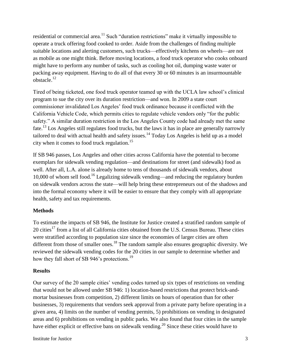residential or commercial area.<sup>11</sup> Such "duration restrictions" make it virtually impossible to operate a truck offering food cooked to order. Aside from the challenges of finding multiple suitable locations and alerting customers, such trucks—effectively kitchens on wheels—are not as mobile as one might think. Before moving locations, a food truck operator who cooks onboard might have to perform any number of tasks, such as cooling hot oil, dumping waste water or packing away equipment. Having to do all of that every 30 or 60 minutes is an insurmountable obstacle.<sup>12</sup>

Tired of being ticketed, one food truck operator teamed up with the UCLA law school's clinical program to sue the city over its duration restriction—and won. In 2009 a state court commissioner invalidated Los Angeles' food truck ordinance because it conflicted with the California Vehicle Code, which permits cities to regulate vehicle vendors only "for the public safety." A similar duration restriction in the Los Angeles County code had already met the same fate.<sup>13</sup> Los Angeles still regulates food trucks, but the laws it has in place are generally narrowly tailored to deal with actual health and safety issues.<sup>14</sup> Today Los Angeles is held up as a model city when it comes to food truck regulation.<sup>15</sup>

If SB 946 passes, Los Angeles and other cities across California have the potential to become exemplars for sidewalk vending regulation—and destinations for street (and sidewalk) food as well. After all, L.A. alone is already home to tens of thousands of sidewalk vendors, about 10,000 of whom sell food.<sup>16</sup> Legalizing sidewalk vending—and reducing the regulatory burden on sidewalk vendors across the state—will help bring these entrepreneurs out of the shadows and into the formal economy where it will be easier to ensure that they comply with all appropriate health, safety and tax requirements.

#### **Methods**

To estimate the impacts of SB 946, the Institute for Justice created a stratified random sample of 20 cities<sup>17</sup> from a list of all California cities obtained from the U.S. Census Bureau. These cities were stratified according to population size since the economies of larger cities are often different from those of smaller ones.<sup>18</sup> The random sample also ensures geographic diversity. We reviewed the sidewalk vending codes for the 20 cities in our sample to determine whether and how they fall short of SB 946's protections.<sup>19</sup>

#### **Results**

Our survey of the 20 sample cities' vending codes turned up six types of restrictions on vending that would not be allowed under SB 946: 1) location-based restrictions that protect brick-andmortar businesses from competition, 2) different limits on hours of operation than for other businesses, 3) requirements that vendors seek approval from a private party before operating in a given area, 4) limits on the number of vending permits, 5) prohibitions on vending in designated areas and 6) prohibitions on vending in public parks. We also found that four cities in the sample have either explicit or effective bans on sidewalk vending.<sup>20</sup> Since these cities would have to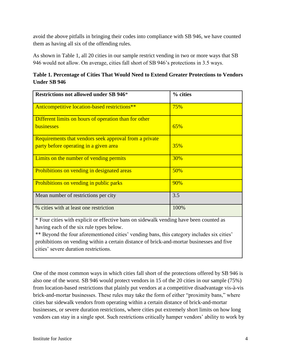avoid the above pitfalls in bringing their codes into compliance with SB 946, we have counted them as having all six of the offending rules.

As shown in Table 1, all 20 cities in our sample restrict vending in two or more ways that SB 946 would not allow. On average, cities fall short of SB 946's protections in 3.5 ways.

**Table 1. Percentage of Cities That Would Need to Extend Greater Protections to Vendors Under SB 946**

| <b>Restrictions not allowed under SB 946*</b>                                                    | % cities   |
|--------------------------------------------------------------------------------------------------|------------|
| Anticompetitive location-based restrictions**                                                    | 75%        |
| Different limits on hours of operation than for other<br>businesses                              | 65%        |
| Requirements that vendors seek approval from a private<br>party before operating in a given area | <b>35%</b> |
| Limits on the number of vending permits                                                          | 30%        |
| Prohibitions on vending in designated areas                                                      | 50%        |
| Prohibitions on vending in public parks                                                          | 90%        |
| Mean number of restrictions per city                                                             | 3.5        |
| % cities with at least one restriction                                                           | 100%       |

\* Four cities with explicit or effective bans on sidewalk vending have been counted as having each of the six rule types below.

\*\* Beyond the four aforementioned cities' vending bans, this category includes six cities' prohibitions on vending within a certain distance of brick-and-mortar businesses and five cities' severe duration restrictions.

One of the most common ways in which cities fall short of the protections offered by SB 946 is also one of the worst. SB 946 would protect vendors in 15 of the 20 cities in our sample (75%) from location-based restrictions that plainly put vendors at a competitive disadvantage vis-à-vis brick-and-mortar businesses. These rules may take the form of either "proximity bans," where cities bar sidewalk vendors from operating within a certain distance of brick-and-mortar businesses, or severe duration restrictions, where cities put extremely short limits on how long vendors can stay in a single spot. Such restrictions critically hamper vendors' ability to work by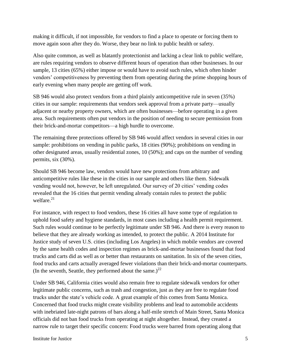making it difficult, if not impossible, for vendors to find a place to operate or forcing them to move again soon after they do. Worse, they bear no link to public health or safety.

Also quite common, as well as blatantly protectionist and lacking a clear link to public welfare, are rules requiring vendors to observe different hours of operation than other businesses. In our sample, 13 cities (65%) either impose or would have to avoid such rules, which often hinder vendors' competitiveness by preventing them from operating during the prime shopping hours of early evening when many people are getting off work.

SB 946 would also protect vendors from a third plainly anticompetitive rule in seven (35%) cities in our sample: requirements that vendors seek approval from a private party—usually adjacent or nearby property owners, which are often businesses—before operating in a given area. Such requirements often put vendors in the position of needing to secure permission from their brick-and-mortar competitors—a high hurdle to overcome.

The remaining three protections offered by SB 946 would affect vendors in several cities in our sample: prohibitions on vending in public parks, 18 cities (90%); prohibitions on vending in other designated areas, usually residential zones, 10 (50%); and caps on the number of vending permits, six (30%).

Should SB 946 become law, vendors would have new protections from arbitrary and anticompetitive rules like these in the cities in our sample and others like them. Sidewalk vending would not, however, be left unregulated. Our survey of 20 cities' vending codes revealed that the 16 cities that permit vending already contain rules to protect the public welfare. $^{21}$ 

For instance, with respect to food vendors, these 16 cities all have some type of regulation to uphold food safety and hygiene standards, in most cases including a health permit requirement. Such rules would continue to be perfectly legitimate under SB 946. And there is every reason to believe that they are already working as intended, to protect the public. A 2014 Institute for Justice study of seven U.S. cities (including Los Angeles) in which mobile vendors are covered by the same health codes and inspection regimes as brick-and-mortar businesses found that food trucks and carts did as well as or better than restaurants on sanitation. In six of the seven cities, food trucks and carts actually averaged fewer violations than their brick-and-mortar counterparts. (In the seventh, Seattle, they performed about the same.)<sup>22</sup>

Under SB 946, California cities would also remain free to regulate sidewalk vendors for other legitimate public concerns, such as trash and congestion, just as they are free to regulate food trucks under the state's vehicle code. A great example of this comes from Santa Monica. Concerned that food trucks might create visibility problems and lead to automobile accidents with inebriated late-night patrons of bars along a half-mile stretch of Main Street, Santa Monica officials did not ban food trucks from operating at night altogether. Instead, they created a narrow rule to target their specific concern: Food trucks were barred from operating along that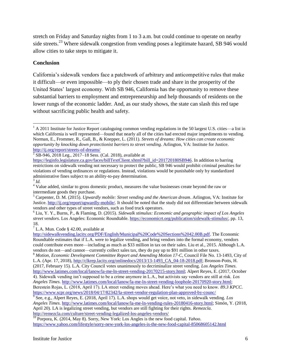stretch on Friday and Saturday nights from 1 to 3 a.m. but could continue to operate on nearby side streets.<sup>23</sup> Where sidewalk congestion from vending poses a legitimate hazard, SB 946 would allow cities to take steps to mitigate it.

#### **Conclusion**

California's sidewalk vendors face a patchwork of arbitrary and anticompetitive rules that make it difficult—or even impossible—to ply their chosen trade and share in the prosperity of the United States' largest economy. With SB 946, California has the opportunity to remove these substantial barriers to employment and entrepreneurship and help thousands of residents on the lower rungs of the economic ladder. And, as our study shows, the state can slash this red tape without sacrificing public health and safety.

 $\overline{a}$ 

 $<sup>7</sup>$  L.A. Mun. Code § 42.00, available at</sup>

<sup>8</sup> *Motion, Economic Development Committee Report and Amending Motion 17-C*, Council File No. 13-1493, City of L.A. (Apr. 17, 2018), [http://clkrep.lacity.org/onlinedocs/2013/13-1493\\_CA\\_04-18-2018.pdf;](http://clkrep.lacity.org/onlinedocs/2013/13-1493_CA_04-18-2018.pdf) Bronson-Potts, H. (2017, February 15). L.A. City Council votes unanimously to decriminalize street vending. *Los Angeles Times*.

[http://www.latimes.com/local/lanow/la-me-ln-street-vending-20170215-story.html;](http://www.latimes.com/local/lanow/la-me-ln-street-vending-20170215-story.html) Alpert Reyes, E. (2017, October 4). Sidewalk vending isn't supposed to be a crime anymore in L.A., but activists say vendors are still at risk. *Los Angeles Times*. [http://www.latimes.com/local/lanow/la-me-ln-street-vending-loophole-20170920-story.html;](http://www.latimes.com/local/lanow/la-me-ln-street-vending-loophole-20170920-story.html) Berestein Rojas, L. (2018, April 17). LA street vending moves ahead. Here's what you need to know. *89.3 KPCC*. <https://www.scpr.org/news/2018/04/17/82342/la-street-vendor-regulation-plan-approved-by-counc/>

<sup>10</sup> Porpora, K. (2014, May 8). Sorry, New York: Los Angles is the new food capital. *Yahoo*. <https://www.yahoo.com/lifestyle/sorry-new-york-los-angeles-is-the-new-food-capital-85068605142.html>

 $1$  A 2011 Institute for Justice Report cataloguing common vending regulations in the 50 largest U.S. cities—a list in which California is well represented—found that nearly all of the cities had erected major impediments to vending. Norman, E., Frommer, R., Gall, B., & Knepper, L. (2011). *Streets of dreams: How cities can create economic opportunity by knocking down protectionist barriers to street vending*. Arlington, VA: Institute for Justice. <http://ij.org/report/streets-of-dreams/>

 $2^{2}$  SB-946, 2018 Leg., 2017–18 Sess. (Cal. 2018), available at

[https://leginfo.legislature.ca.gov/faces/billTextClient.xhtml?bill\\_id=201720180SB946.](https://leginfo.legislature.ca.gov/faces/billTextClient.xhtml?bill_id=201720180SB946) In addition to barring restrictions on sidewalk vending not necessary to protect the public, SB 946 would prohibit criminal penalties for violations of vending ordinances or regulations. Instead, violations would be punishable only by standardized administrative fines subject to an ability-to-pay determination.

<sup>3</sup> *Id.*

<sup>4</sup> Value added, similar to gross domestic product, measures the value businesses create beyond the raw or intermediate goods they purchase.

<sup>5</sup> Carpenter, D. M. (2015). *Upwardly mobile: Street vending and the American dream*. Arlington, VA: Institute for Justice. [http://ij.org/report/upwardly-mobile/.](http://ij.org/report/upwardly-mobile/) It should be noted that the study did not differentiate between sidewalk vendors and other types of street vendors, such as food truck operators.

<sup>6</sup> Liu, Y. Y., Burns, P., & Flaming, D. (2015). *Sidewalk stimulus: Economic and geographic impact of Los Angeles street vendors*. Los Angeles: Economic Roundtable. [https://economicrt.org/publication/sidewalk-stimulus/,](https://economicrt.org/publication/sidewalk-stimulus/) pp. 13, 18.

[http://sidewalkvending.lacity.org/PDF/English/Municipal%20Code%20Sections%2042.00B.pdf.](http://sidewalkvending.lacity.org/PDF/English/Municipal%20Code%20Sections%2042.00B.pdf) The Economic Roundtable estimates that if L.A. were to legalize vending, and bring vendors into the formal economy, vendors could contribute even more—including as much as \$33 million in tax on their sales. Liu et al., 2015. Although L.A. vendors do not—and cannot—currently collect sales tax, they do pay up to \$91 million in other taxes.

<sup>9</sup> See, e.g., Alpert Reyes, E. (2018, April 17). L.A. shops would get voice, not veto, in sidewalk vending. *Los Angeles Times*. [http://www.latimes.com/local/lanow/la-me-ln-vending-rules-20180416-story.html;](http://www.latimes.com/local/lanow/la-me-ln-vending-rules-20180416-story.html) Simón, Y. (2018, April 20). LA is legalizing street vending, but vendors are still fighting for their rights. *Remezcla*. <http://remezcla.com/culture/street-vending-legalized-los-angeles-vendors/>